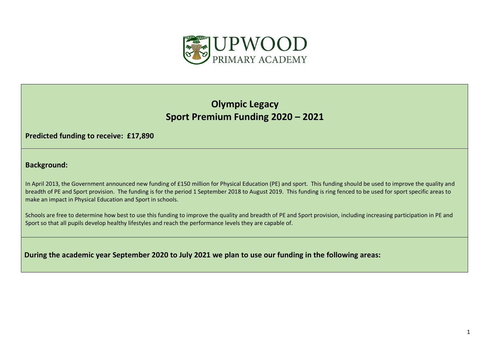

## **Olympic Legacy Sport Premium Funding 2020 – 2021**

**Predicted funding to receive: £17,890**

**Background:** 

In April 2013, the Government announced new funding of £150 million for Physical Education (PE) and sport. This funding should be used to improve the quality and breadth of PE and Sport provision. The funding is for the period 1 September 2018 to August 2019. This funding is ring fenced to be used for sport specific areas to make an impact in Physical Education and Sport in schools.

Schools are free to determine how best to use this funding to improve the quality and breadth of PE and Sport provision, including increasing participation in PE and Sport so that all pupils develop healthy lifestyles and reach the performance levels they are capable of.

**During the academic year September 2020 to July 2021 we plan to use our funding in the following areas:**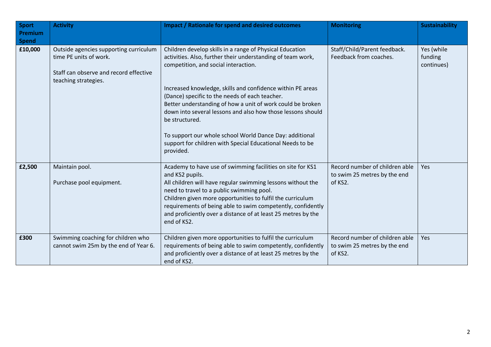| Sport<br><b>Premium</b><br><b>Spend</b> | <b>Activity</b>                                                                                                                    | <b>Impact / Rationale for spend and desired outcomes</b>                                                                                                                                                                                                                                                                                                                                                                                                                                                                                                            | <b>Monitoring</b>                                                         | <b>Sustainability</b>               |
|-----------------------------------------|------------------------------------------------------------------------------------------------------------------------------------|---------------------------------------------------------------------------------------------------------------------------------------------------------------------------------------------------------------------------------------------------------------------------------------------------------------------------------------------------------------------------------------------------------------------------------------------------------------------------------------------------------------------------------------------------------------------|---------------------------------------------------------------------------|-------------------------------------|
| £10,000                                 | Outside agencies supporting curriculum<br>time PE units of work.<br>Staff can observe and record effective<br>teaching strategies. | Children develop skills in a range of Physical Education<br>activities. Also, further their understanding of team work,<br>competition, and social interaction.<br>Increased knowledge, skills and confidence within PE areas<br>(Dance) specific to the needs of each teacher.<br>Better understanding of how a unit of work could be broken<br>down into several lessons and also how those lessons should<br>be structured.<br>To support our whole school World Dance Day: additional<br>support for children with Special Educational Needs to be<br>provided. | Staff/Child/Parent feedback.<br>Feedback from coaches.                    | Yes (while<br>funding<br>continues) |
| £2,500                                  | Maintain pool.<br>Purchase pool equipment.                                                                                         | Academy to have use of swimming facilities on site for KS1<br>and KS2 pupils.<br>All children will have regular swimming lessons without the<br>need to travel to a public swimming pool.<br>Children given more opportunities to fulfil the curriculum<br>requirements of being able to swim competently, confidently<br>and proficiently over a distance of at least 25 metres by the<br>end of KS2.                                                                                                                                                              | Record number of children able<br>to swim 25 metres by the end<br>of KS2. | Yes                                 |
| £300                                    | Swimming coaching for children who<br>cannot swim 25m by the end of Year 6.                                                        | Children given more opportunities to fulfil the curriculum<br>requirements of being able to swim competently, confidently<br>and proficiently over a distance of at least 25 metres by the<br>end of KS2.                                                                                                                                                                                                                                                                                                                                                           | Record number of children able<br>to swim 25 metres by the end<br>of KS2. | Yes                                 |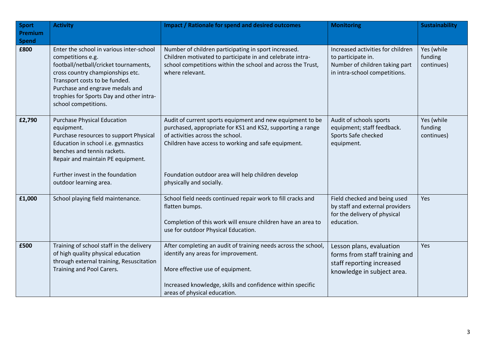| <b>Sport</b><br>Premium | <b>Activity</b>                                                                                                                                                                                                                                                                    | <b>Impact / Rationale for spend and desired outcomes</b>                                                                                                                                                                                                                                             | <b>Monitoring</b>                                                                                                          | <b>Sustainability</b>               |
|-------------------------|------------------------------------------------------------------------------------------------------------------------------------------------------------------------------------------------------------------------------------------------------------------------------------|------------------------------------------------------------------------------------------------------------------------------------------------------------------------------------------------------------------------------------------------------------------------------------------------------|----------------------------------------------------------------------------------------------------------------------------|-------------------------------------|
| <b>Spend</b>            |                                                                                                                                                                                                                                                                                    |                                                                                                                                                                                                                                                                                                      |                                                                                                                            |                                     |
| £800                    | Enter the school in various inter-school<br>competitions e.g.<br>football/netball/cricket tournaments,<br>cross country championships etc.<br>Transport costs to be funded.<br>Purchase and engrave medals and<br>trophies for Sports Day and other intra-<br>school competitions. | Number of children participating in sport increased.<br>Children motivated to participate in and celebrate intra-<br>school competitions within the school and across the Trust,<br>where relevant.                                                                                                  | Increased activities for children<br>to participate in.<br>Number of children taking part<br>in intra-school competitions. | Yes (while<br>funding<br>continues) |
| £2,790                  | <b>Purchase Physical Education</b><br>equipment.<br>Purchase resources to support Physical<br>Education in school i.e. gymnastics<br>benches and tennis rackets.<br>Repair and maintain PE equipment.<br>Further invest in the foundation<br>outdoor learning area.                | Audit of current sports equipment and new equipment to be<br>purchased, appropriate for KS1 and KS2, supporting a range<br>of activities across the school.<br>Children have access to working and safe equipment.<br>Foundation outdoor area will help children develop<br>physically and socially. | Audit of schools sports<br>equipment; staff feedback.<br>Sports Safe checked<br>equipment.                                 | Yes (while<br>funding<br>continues) |
| £1,000                  | School playing field maintenance.                                                                                                                                                                                                                                                  | School field needs continued repair work to fill cracks and<br>flatten bumps.<br>Completion of this work will ensure children have an area to<br>use for outdoor Physical Education.                                                                                                                 | Field checked and being used<br>by staff and external providers<br>for the delivery of physical<br>education.              | Yes                                 |
| £500                    | Training of school staff in the delivery<br>of high quality physical education<br>through external training, Resuscitation<br>Training and Pool Carers.                                                                                                                            | After completing an audit of training needs across the school,<br>identify any areas for improvement.<br>More effective use of equipment.<br>Increased knowledge, skills and confidence within specific<br>areas of physical education.                                                              | Lesson plans, evaluation<br>forms from staff training and<br>staff reporting increased<br>knowledge in subject area.       | Yes                                 |